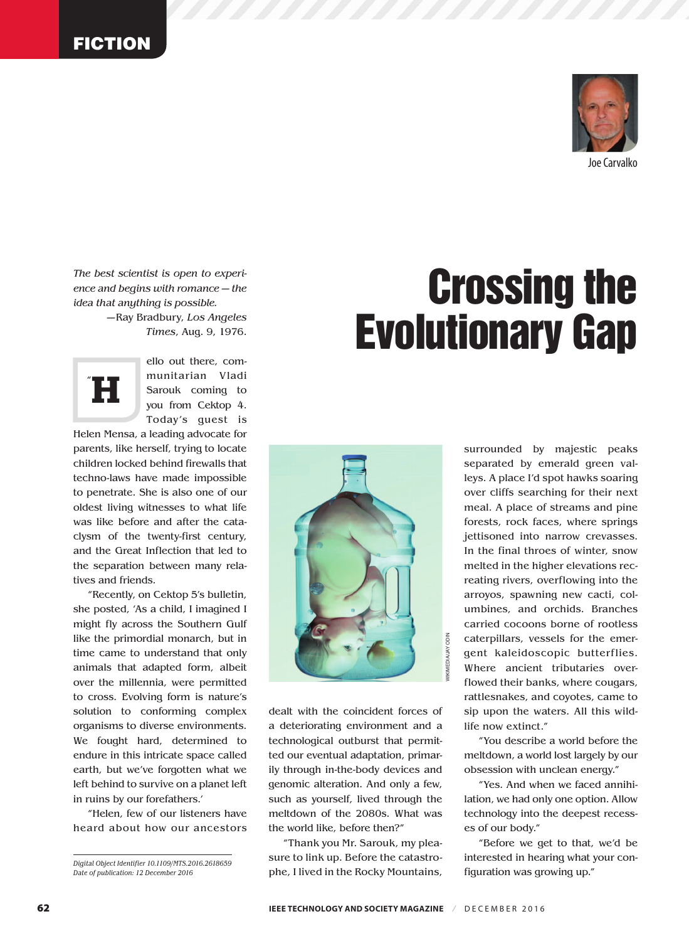

*The best scientist is open to experience and begins with romance — the idea that anything is possible.*

—Ray Bradbury, *Los Angeles Times*, Aug. 9, 1976.



ello out there, communitarian Vladi Sarouk coming to you from Cektop 4. Today's guest is

Helen Mensa, a leading advocate for parents, like herself, trying to locate children locked behind firewalls that techno-laws have made impossible to penetrate. She is also one of our oldest living witnesses to what life was like before and after the cataclysm of the twenty-first century, and the Great Inflection that led to the separation between many relatives and friends.

"Recently, on Cektop 5's bulletin, she posted, 'As a child, I imagined I might fly across the Southern Gulf like the primordial monarch, but in time came to understand that only animals that adapted form, albeit over the millennia, were permitted to cross. Evolving form is nature's solution to conforming complex organisms to diverse environments. We fought hard, determined to endure in this intricate space called earth, but we've forgotten what we left behind to survive on a planet left in ruins by our forefathers.'

"Helen, few of our listeners have heard about how our ancestors

# Crossing the Evolutionary Gap



dealt with the coincident forces of a deteriorating environment and a technological outburst that permitted our eventual adaptation, primarily through in-the-body devices and genomic alteration. And only a few, such as yourself, lived through the meltdown of the 2080s. What was the world like, before then?"

"Thank you Mr. Sarouk, my pleasure to link up. Before the catastrophe, I lived in the Rocky Mountains,

surrounded by majestic peaks separated by emerald green valleys. A place I'd spot hawks soaring over cliffs searching for their next meal. A place of streams and pine forests, rock faces, where springs jettisoned into narrow crevasses. In the final throes of winter, snow melted in the higher elevations recreating rivers, overflowing into the arroyos, spawning new cacti, columbines, and orchids. Branches carried cocoons borne of rootless caterpillars, vessels for the emergent kaleidoscopic butterflies. Where ancient tributaries overflowed their banks, where cougars, rattlesnakes, and coyotes, came to sip upon the waters. All this wildlife now extinct."

"You describe a world before the meltdown, a world lost largely by our obsession with unclean energy."

"Yes. And when we faced annihilation, we had only one option. Allow technology into the deepest recesses of our body."

"Before we get to that, we'd be interested in hearing what your configuration was growing up."

*Digital Object Identifier 10.1109/MTS.2016.2618659 Date of publication: 12 December 2016*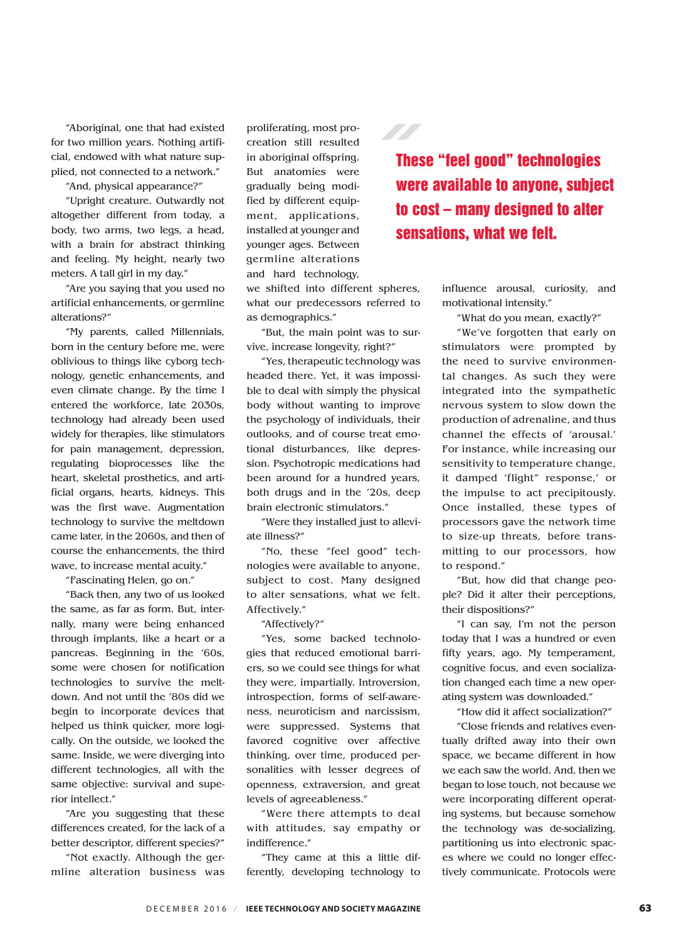"Aboriginal, one that had existed for two million years. Nothing artificial, endowed with what nature supplied, not connected to a network."

"And, physical appearance?"

"Upright creature. Outwardly not altogether different from today, a body, two arms, two legs, a head, with a brain for abstract thinking and feeling. My height, nearly two meters. A tall girl in my day."

"Are you saying that you used no artificial enhancements, or germline alterations?"

"My parents, called Millennials, born in the century before me, were oblivious to things like cyborg technology, genetic enhancements, and even climate change. By the time I entered the workforce, late 2030s, technology had already been used widely for therapies, like stimulators for pain management, depression, regulating bioprocesses like the heart, skeletal prosthetics, and artificial organs, hearts, kidneys. This was the first wave. Augmentation technology to survive the meltdown came later, in the 2060s, and then of course the enhancements, the third wave, to increase mental acuity."

"Fascinating Helen, go on."

"Back then, any two of us looked the same, as far as form. But, internally, many were being enhanced through implants, like a heart or a pancreas. Beginning in the '60s, some were chosen for notification technologies to survive the meltdown. And not until the '80s did we begin to incorporate devices that helped us think quicker, more logically. On the outside, we looked the same. Inside, we were diverging into different technologies, all with the same objective: survival and superior intellect."

"Are you suggesting that these differences created, for the lack of a better descriptor, different species?"

"Not exactly. Although the germline alteration business was proliferating, most procreation still resulted in aboriginal offspring. But anatomies were gradually being modified by different equipment, applications, installed at younger and younger ages. Between germline alterations and hard technology,

we shifted into different spheres, what our predecessors referred to as demographics."

"But, the main point was to survive, increase longevity, right?"

"Yes, therapeutic technology was headed there. Yet, it was impossible to deal with simply the physical body without wanting to improve the psychology of individuals, their outlooks, and of course treat emotional disturbances, like depression. Psychotropic medications had been around for a hundred years, both drugs and in the '20s, deep brain electronic stimulators."

"Were they installed just to alleviate illness?"

"No, these "feel good" technologies were available to anyone, subject to cost. Many designed to alter sensations, what we felt. Affectively."

"Affectively?"

"Yes, some backed technologies that reduced emotional barriers, so we could see things for what they were, impartially. Introversion, introspection, forms of self-awareness, neuroticism and narcissism, were suppressed. Systems that favored cognitive over affective thinking, over time, produced personalities with lesser degrees of openness, extraversion, and great levels of agreeableness."

"Were there attempts to deal with attitudes, say empathy or indifference."

"They came at this a little differently, developing technology to

These "feel good" technologies were available to anyone, subject to cost – many designed to alter sensations, what we felt.

> influence arousal, curiosity, and motivational intensity."

"What do you mean, exactly?"

"We've forgotten that early on stimulators were prompted by the need to survive environmental changes. As such they were integrated into the sympathetic nervous system to slow down the production of adrenaline, and thus channel the effects of 'arousal.' For instance, while increasing our sensitivity to temperature change, it damped 'flight" response,' or the impulse to act precipitously. Once installed, these types of processors gave the network time to size-up threats, before transmitting to our processors, how to respond."

"But, how did that change people? Did it alter their perceptions, their dispositions?"

"I can say, I'm not the person today that I was a hundred or even fifty years, ago. My temperament, cognitive focus, and even socialization changed each time a new operating system was downloaded."

"How did it affect socialization?"

"Close friends and relatives eventually drifted away into their own space, we became different in how we each saw the world. And, then we began to lose touch, not because we were incorporating different operating systems, but because somehow the technology was de-socializing, partitioning us into electronic spaces where we could no longer effectively communicate. Protocols were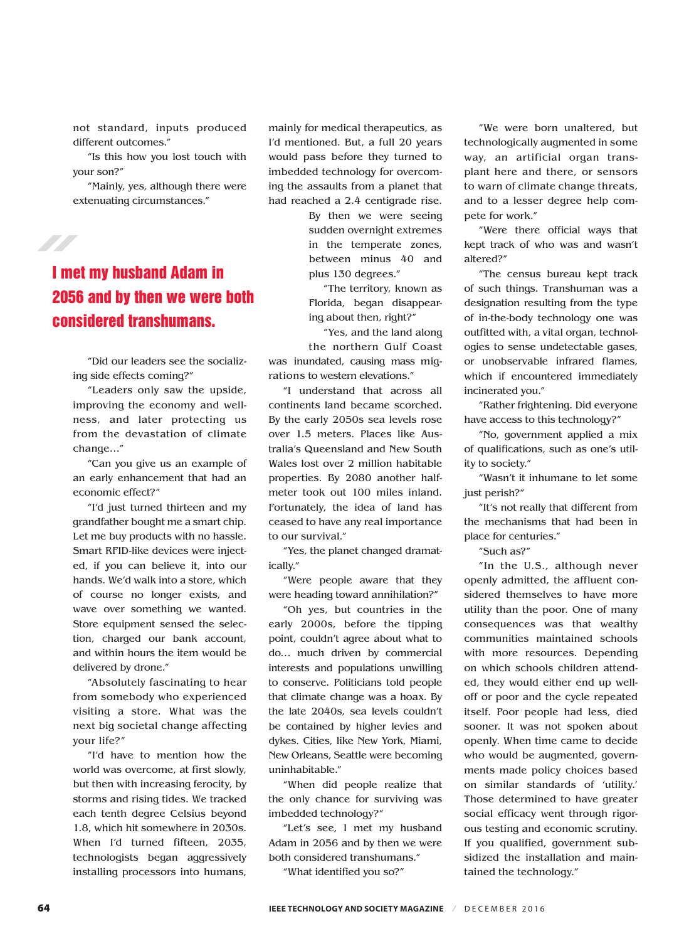not standard, inputs produced different outcomes."

"Is this how you lost touch with your son?"

"Mainly, yes, although there were extenuating circumstances."

# <u>STATISTICS OF THE COMMUNIST</u>

### I met my husband Adam in 2056 and by then we were both considered transhumans.

"Did our leaders see the socializing side effects coming?"

"Leaders only saw the upside, improving the economy and wellness, and later protecting us from the devastation of climate change…"

"Can you give us an example of an early enhancement that had an economic effect?"

"I'd just turned thirteen and my grandfather bought me a smart chip. Let me buy products with no hassle. Smart RFID-like devices were injected, if you can believe it, into our hands. We'd walk into a store, which of course no longer exists, and wave over something we wanted. Store equipment sensed the selection, charged our bank account, and within hours the item would be delivered by drone."

"Absolutely fascinating to hear from somebody who experienced visiting a store. What was the next big societal change affecting your life?"

"I'd have to mention how the world was overcome, at first slowly, but then with increasing ferocity, by storms and rising tides. We tracked each tenth degree Celsius beyond 1.8, which hit somewhere in 2030s. When I'd turned fifteen, 2035, technologists began aggressively installing processors into humans, mainly for medical therapeutics, as I'd mentioned. But, a full 20 years would pass before they turned to imbedded technology for overcoming the assaults from a planet that had reached a 2.4 centigrade rise.

> By then we were seeing sudden overnight extremes in the temperate zones, between minus 40 and plus 130 degrees."

"The territory, known as Florida, began disappearing about then, right?"

"Yes, and the land along the northern Gulf Coast was inundated, causing mass migrations to western elevations."

"I understand that across all continents land became scorched. By the early 2050s sea levels rose over 1.5 meters. Places like Australia's Queensland and New South Wales lost over 2 million habitable properties. By 2080 another halfmeter took out 100 miles inland. Fortunately, the idea of land has ceased to have any real importance to our survival."

"Yes, the planet changed dramatically."

"Were people aware that they were heading toward annihilation?"

"Oh yes, but countries in the early 2000s, before the tipping point, couldn't agree about what to do… much driven by commercial interests and populations unwilling to conserve. Politicians told people that climate change was a hoax. By the late 2040s, sea levels couldn't be contained by higher levies and dykes. Cities, like New York, Miami, New Orleans, Seattle were becoming uninhabitable."

"When did people realize that the only chance for surviving was imbedded technology?"

"Let's see, I met my husband Adam in 2056 and by then we were both considered transhumans."

"What identified you so?"

"We were born unaltered, but technologically augmented in some way, an artificial organ transplant here and there, or sensors to warn of climate change threats, and to a lesser degree help compete for work."

"Were there official ways that kept track of who was and wasn't altered?"

"The census bureau kept track of such things. Transhuman was a designation resulting from the type of in-the-body technology one was outfitted with, a vital organ, technologies to sense undetectable gases, or unobservable infrared flames, which if encountered immediately incinerated you."

"Rather frightening. Did everyone have access to this technology?"

"No, government applied a mix of qualifications, such as one's utility to society."

"Wasn't it inhumane to let some just perish?"

"It's not really that different from the mechanisms that had been in place for centuries."

"Such as?"

"In the U.S., although never openly admitted, the affluent considered themselves to have more utility than the poor. One of many consequences was that wealthy communities maintained schools with more resources. Depending on which schools children attended, they would either end up welloff or poor and the cycle repeated itself. Poor people had less, died sooner. It was not spoken about openly. When time came to decide who would be augmented, governments made policy choices based on similar standards of 'utility.' Those determined to have greater social efficacy went through rigorous testing and economic scrutiny. If you qualified, government subsidized the installation and maintained the technology."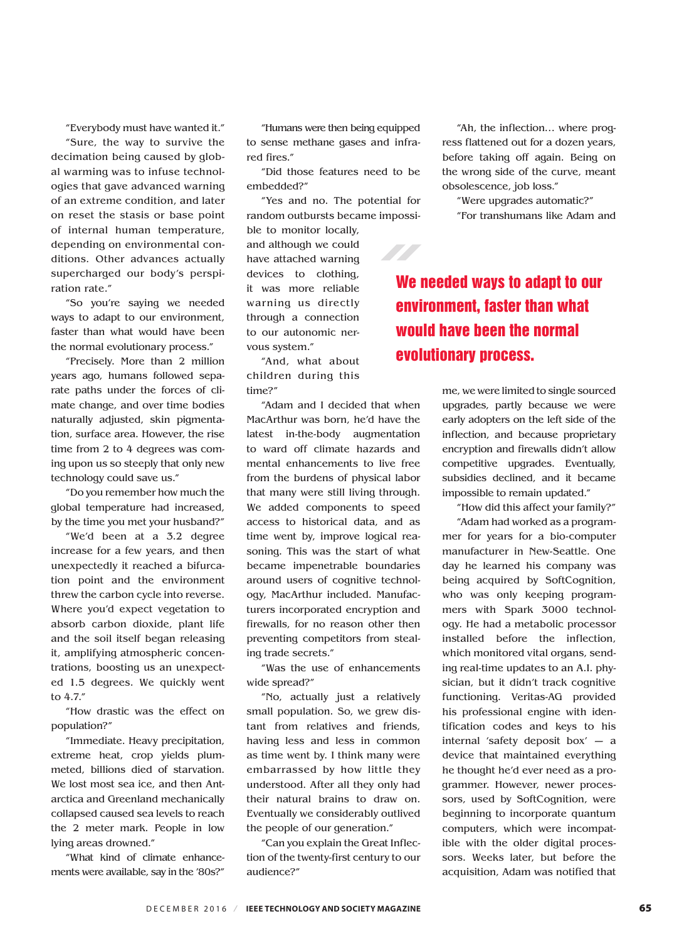"Everybody must have wanted it."

"Sure, the way to survive the decimation being caused by global warming was to infuse technologies that gave advanced warning of an extreme condition, and later on reset the stasis or base point of internal human temperature, depending on environmental conditions. Other advances actually supercharged our body's perspiration rate."

"So you're saying we needed ways to adapt to our environment, faster than what would have been the normal evolutionary process."

"Precisely. More than 2 million years ago, humans followed separate paths under the forces of climate change, and over time bodies naturally adjusted, skin pigmentation, surface area. However, the rise time from 2 to 4 degrees was coming upon us so steeply that only new technology could save us."

"Do you remember how much the global temperature had increased, by the time you met your husband?"

"We'd been at a 3.2 degree increase for a few years, and then unexpectedly it reached a bifurcation point and the environment threw the carbon cycle into reverse. Where you'd expect vegetation to absorb carbon dioxide, plant life and the soil itself began releasing it, amplifying atmospheric concentrations, boosting us an unexpected 1.5 degrees. We quickly went to 4.7."

"How drastic was the effect on population?"

"Immediate. Heavy precipitation, extreme heat, crop yields plummeted, billions died of starvation. We lost most sea ice, and then Antarctica and Greenland mechanically collapsed caused sea levels to reach the 2 meter mark. People in low lying areas drowned."

"What kind of climate enhancements were available, say in the '80s?"

"Humans were then being equipped to sense methane gases and infrared fires."

"Did those features need to be embedded?"

"Yes and no. The potential for random outbursts became impossible to monitor locally,

and although we could have attached warning devices to clothing, it was more reliable warning us directly through a connection to our autonomic nervous system."

"And, what about children during this time?"

"Adam and I decided that when MacArthur was born, he'd have the latest in-the-body augmentation to ward off climate hazards and mental enhancements to live free from the burdens of physical labor that many were still living through. We added components to speed access to historical data, and as time went by, improve logical reasoning. This was the start of what became impenetrable boundaries around users of cognitive technology, MacArthur included. Manufacturers incorporated encryption and firewalls, for no reason other then preventing competitors from stealing trade secrets."

"Was the use of enhancements wide spread?"

"No, actually just a relatively small population. So, we grew distant from relatives and friends, having less and less in common as time went by. I think many were embarrassed by how little they understood. After all they only had their natural brains to draw on. Eventually we considerably outlived the people of our generation."

"Can you explain the Great Inflection of the twenty-first century to our audience?"

"Ah, the inflection… where progress flattened out for a dozen years, before taking off again. Being on the wrong side of the curve, meant obsolescence, job loss."

"Were upgrades automatic?"

"For transhumans like Adam and

## We needed ways to adapt to our environment, faster than what would have been the normal evolutionary process.

me, we were limited to single sourced upgrades, partly because we were early adopters on the left side of the inflection, and because proprietary encryption and firewalls didn't allow competitive upgrades. Eventually, subsidies declined, and it became impossible to remain updated."

"How did this affect your family?"

"Adam had worked as a programmer for years for a bio-computer manufacturer in New-Seattle. One day he learned his company was being acquired by SoftCognition, who was only keeping programmers with Spark 3000 technology. He had a metabolic processor installed before the inflection, which monitored vital organs, sending real-time updates to an A.I. physician, but it didn't track cognitive functioning. Veritas-AG provided his professional engine with identification codes and keys to his internal 'safety deposit box' — a device that maintained everything he thought he'd ever need as a programmer. However, newer processors, used by SoftCognition, were beginning to incorporate quantum computers, which were incompatible with the older digital processors. Weeks later, but before the acquisition, Adam was notified that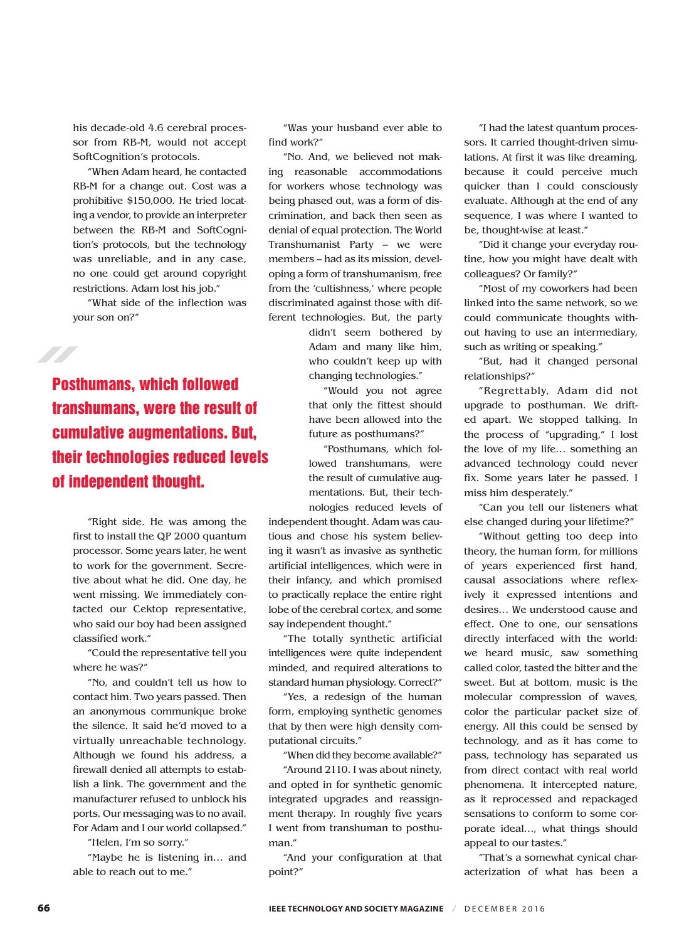his decade-old 4.6 cerebral processor from RB-M, would not accept SoftCognition's protocols.

"When Adam heard, he contacted RB-M for a change out. Cost was a prohibitive \$150,000. He tried locating a vendor, to provide an interpreter between the RB-M and SoftCognition's protocols, but the technology was unreliable, and in any case, no one could get around copyright restrictions. Adam lost his job."

"What side of the inflection was your son on?"

Posthumans, which followed transhumans, were the result of cumulative augmentations. But, their technologies reduced levels of independent thought.

"Right side. He was among the first to install the QP 2000 quantum processor. Some years later, he went to work for the government. Secretive about what he did. One day, he went missing. We immediately contacted our Cektop representative, who said our boy had been assigned classified work."

"Could the representative tell you where he was?"

"No, and couldn't tell us how to contact him. Two years passed. Then an anonymous communique broke the silence. It said he'd moved to a virtually unreachable technology. Although we found his address, a firewall denied all attempts to establish a link. The government and the manufacturer refused to unblock his ports. Our messaging was to no avail. For Adam and I our world collapsed."

"Helen, I'm so sorry."

"Maybe he is listening in… and able to reach out to me."

"Was your husband ever able to find work?"

"No. And, we believed not making reasonable accommodations for workers whose technology was being phased out, was a form of discrimination, and back then seen as denial of equal protection. The World Transhumanist Party – we were members – had as its mission, developing a form of transhumanism, free from the 'cultishness,' where people discriminated against those with different technologies. But, the party

> didn't seem bothered by Adam and many like him, who couldn't keep up with changing technologies."

"Would you not agree that only the fittest should have been allowed into the future as posthumans?"

"Posthumans, which followed transhumans, were the result of cumulative augmentations. But, their technologies reduced levels of

independent thought. Adam was cautious and chose his system believing it wasn't as invasive as synthetic artificial intelligences, which were in their infancy, and which promised to practically replace the entire right lobe of the cerebral cortex, and some say independent thought."

"The totally synthetic artificial intelligences were quite independent minded, and required alterations to standard human physiology. Correct?"

"Yes, a redesign of the human form, employing synthetic genomes that by then were high density computational circuits."

"When did they become available?"

"Around 2110. I was about ninety, and opted in for synthetic genomic integrated upgrades and reassignment therapy. In roughly five years I went from transhuman to posthuman."

"And your configuration at that point?"

"I had the latest quantum processors. It carried thought-driven simulations. At first it was like dreaming, because it could perceive much quicker than I could consciously evaluate. Although at the end of any sequence, I was where I wanted to be, thought-wise at least."

"Did it change your everyday routine, how you might have dealt with colleagues? Or family?"

"Most of my coworkers had been linked into the same network, so we could communicate thoughts without having to use an intermediary, such as writing or speaking."

"But, had it changed personal relationships?"

"Regrettably, Adam did not upgrade to posthuman. We drifted apart. We stopped talking. In the process of "upgrading," I lost the love of my life… something an advanced technology could never fix. Some years later he passed. I miss him desperately."

"Can you tell our listeners what else changed during your lifetime?"

"Without getting too deep into theory, the human form, for millions of years experienced first hand, causal associations where reflexively it expressed intentions and desires… We understood cause and effect. One to one, our sensations directly interfaced with the world: we heard music, saw something called color, tasted the bitter and the sweet. But at bottom, music is the molecular compression of waves, color the particular packet size of energy. All this could be sensed by technology, and as it has come to pass, technology has separated us from direct contact with real world phenomena. It intercepted nature, as it reprocessed and repackaged sensations to conform to some corporate ideal…, what things should appeal to our tastes."

"That's a somewhat cynical characterization of what has been a